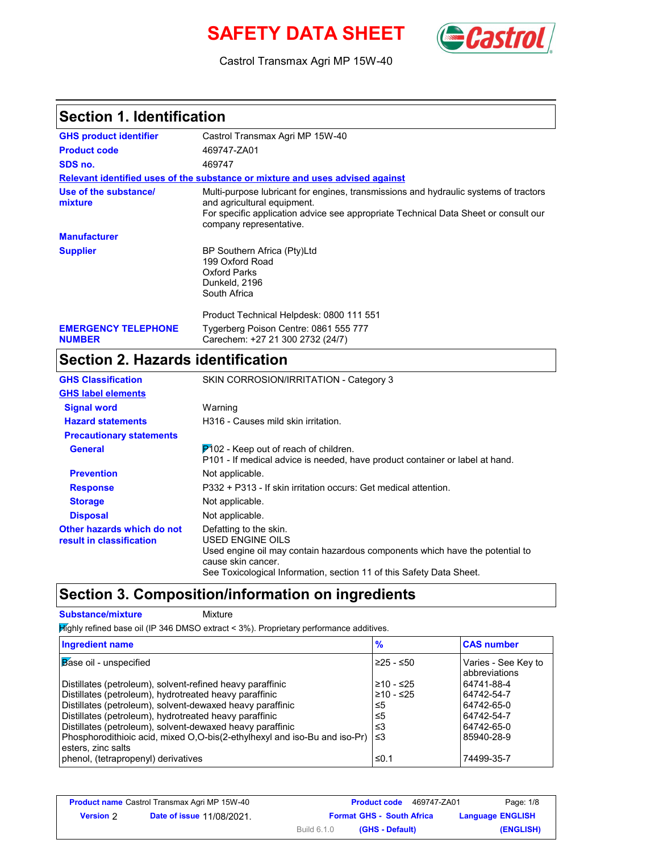# **SAFETY DATA SHEET** *Castrol*



Castrol Transmax Agri MP 15W-40

### **Section 1. Identification**

| Castrol Transmax Agri MP 15W-40                                                                                                                                                                                                       |
|---------------------------------------------------------------------------------------------------------------------------------------------------------------------------------------------------------------------------------------|
| 469747-ZA01                                                                                                                                                                                                                           |
| 469747                                                                                                                                                                                                                                |
| Relevant identified uses of the substance or mixture and uses advised against                                                                                                                                                         |
| Multi-purpose lubricant for engines, transmissions and hydraulic systems of tractors<br>and agricultural equipment.<br>For specific application advice see appropriate Technical Data Sheet or consult our<br>company representative. |
|                                                                                                                                                                                                                                       |
| BP Southern Africa (Pty)Ltd<br>199 Oxford Road<br>Oxford Parks<br>Dunkeld, 2196<br>South Africa                                                                                                                                       |
| Product Technical Helpdesk: 0800 111 551<br>Tygerberg Poison Centre: 0861 555 777<br>Carechem: +27 21 300 2732 (24/7)                                                                                                                 |
|                                                                                                                                                                                                                                       |

## **Section 2. Hazards identification**

| <b>GHS Classification</b>                              | SKIN CORROSION/IRRITATION - Category 3                                                                                                                                                                                   |
|--------------------------------------------------------|--------------------------------------------------------------------------------------------------------------------------------------------------------------------------------------------------------------------------|
| <b>GHS label elements</b>                              |                                                                                                                                                                                                                          |
| <b>Signal word</b>                                     | Warning                                                                                                                                                                                                                  |
| <b>Hazard statements</b>                               | H316 - Causes mild skin irritation.                                                                                                                                                                                      |
| <b>Precautionary statements</b>                        |                                                                                                                                                                                                                          |
| <b>General</b>                                         | $P$ 102 - Keep out of reach of children.<br>P101 - If medical advice is needed, have product container or label at hand.                                                                                                 |
| <b>Prevention</b>                                      | Not applicable.                                                                                                                                                                                                          |
| <b>Response</b>                                        | P332 + P313 - If skin irritation occurs: Get medical attention.                                                                                                                                                          |
| <b>Storage</b>                                         | Not applicable.                                                                                                                                                                                                          |
| <b>Disposal</b>                                        | Not applicable.                                                                                                                                                                                                          |
| Other hazards which do not<br>result in classification | Defatting to the skin.<br>USED ENGINE OILS<br>Used engine oil may contain hazardous components which have the potential to<br>cause skin cancer.<br>See Toxicological Information, section 11 of this Safety Data Sheet. |

### **Section 3. Composition/information on ingredients**

**Substance/mixture Mixture** 

 $H$ ighly refined base oil (IP 346 DMSO extract < 3%). Proprietary performance additives.

| <b>Ingredient name</b>                                                    | $\frac{9}{6}$ | <b>CAS number</b>                    |
|---------------------------------------------------------------------------|---------------|--------------------------------------|
| Base oil - unspecified                                                    | 225 - ≤50     | Varies - See Key to<br>abbreviations |
| Distillates (petroleum), solvent-refined heavy paraffinic                 | ≥10 - ≤25     | 64741-88-4                           |
| Distillates (petroleum), hydrotreated heavy paraffinic                    | l≥10 - ≤25    | 64742-54-7                           |
| Distillates (petroleum), solvent-dewaxed heavy paraffinic                 | ≤5            | 64742-65-0                           |
| Distillates (petroleum), hydrotreated heavy paraffinic                    | ≤5            | 64742-54-7                           |
| Distillates (petroleum), solvent-dewaxed heavy paraffinic                 | ≤3            | 64742-65-0                           |
| Phosphorodithioic acid, mixed O,O-bis(2-ethylhexyl and iso-Bu and iso-Pr) | $\leq 3$      | 85940-28-9                           |
| esters, zinc salts                                                        |               |                                      |
| phenol, (tetrapropenyl) derivatives                                       | ≤0.1          | 74499-35-7                           |

|           | <b>Product name</b> Castrol Transmax Agri MP 15W-40 | <b>Product code</b><br>469747-ZA01 | Page: 1/8               |
|-----------|-----------------------------------------------------|------------------------------------|-------------------------|
| Version 2 | <b>Date of issue 11/08/2021.</b>                    | <b>Format GHS - South Africa</b>   | <b>Language ENGLISH</b> |
|           |                                                     | Build 6.1.0<br>(GHS - Default)     | (ENGLISH)               |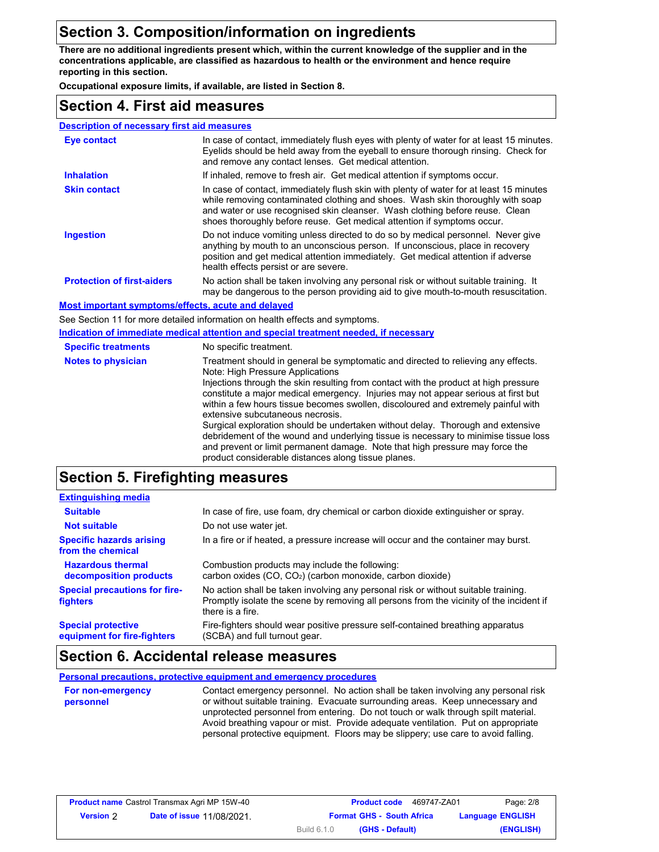### **Section 3. Composition/information on ingredients**

**There are no additional ingredients present which, within the current knowledge of the supplier and in the concentrations applicable, are classified as hazardous to health or the environment and hence require reporting in this section.**

**Occupational exposure limits, if available, are listed in Section 8.**

#### **Section 4. First aid measures**

| <b>Description of necessary first aid measures</b>        |                                                                                                                                                                                                                                                                                                                                                                                                                                                                                                                                                                                                                                                                                                                                               |
|-----------------------------------------------------------|-----------------------------------------------------------------------------------------------------------------------------------------------------------------------------------------------------------------------------------------------------------------------------------------------------------------------------------------------------------------------------------------------------------------------------------------------------------------------------------------------------------------------------------------------------------------------------------------------------------------------------------------------------------------------------------------------------------------------------------------------|
| <b>Eye contact</b>                                        | In case of contact, immediately flush eyes with plenty of water for at least 15 minutes.<br>Eyelids should be held away from the eyeball to ensure thorough rinsing. Check for<br>and remove any contact lenses. Get medical attention.                                                                                                                                                                                                                                                                                                                                                                                                                                                                                                       |
| <b>Inhalation</b>                                         | If inhaled, remove to fresh air. Get medical attention if symptoms occur.                                                                                                                                                                                                                                                                                                                                                                                                                                                                                                                                                                                                                                                                     |
| <b>Skin contact</b>                                       | In case of contact, immediately flush skin with plenty of water for at least 15 minutes<br>while removing contaminated clothing and shoes. Wash skin thoroughly with soap<br>and water or use recognised skin cleanser. Wash clothing before reuse. Clean<br>shoes thoroughly before reuse. Get medical attention if symptoms occur.                                                                                                                                                                                                                                                                                                                                                                                                          |
| <b>Ingestion</b>                                          | Do not induce vomiting unless directed to do so by medical personnel. Never give<br>anything by mouth to an unconscious person. If unconscious, place in recovery<br>position and get medical attention immediately. Get medical attention if adverse<br>health effects persist or are severe.                                                                                                                                                                                                                                                                                                                                                                                                                                                |
| <b>Protection of first-aiders</b>                         | No action shall be taken involving any personal risk or without suitable training. It<br>may be dangerous to the person providing aid to give mouth-to-mouth resuscitation.                                                                                                                                                                                                                                                                                                                                                                                                                                                                                                                                                                   |
| <b>Most important symptoms/effects, acute and delayed</b> |                                                                                                                                                                                                                                                                                                                                                                                                                                                                                                                                                                                                                                                                                                                                               |
|                                                           | See Section 11 for more detailed information on health effects and symptoms.                                                                                                                                                                                                                                                                                                                                                                                                                                                                                                                                                                                                                                                                  |
|                                                           | Indication of immediate medical attention and special treatment needed, if necessary                                                                                                                                                                                                                                                                                                                                                                                                                                                                                                                                                                                                                                                          |
| <b>Specific treatments</b>                                | No specific treatment.                                                                                                                                                                                                                                                                                                                                                                                                                                                                                                                                                                                                                                                                                                                        |
| <b>Notes to physician</b>                                 | Treatment should in general be symptomatic and directed to relieving any effects.<br>Note: High Pressure Applications<br>Injections through the skin resulting from contact with the product at high pressure<br>constitute a major medical emergency. Injuries may not appear serious at first but<br>within a few hours tissue becomes swollen, discoloured and extremely painful with<br>extensive subcutaneous necrosis.<br>Surgical exploration should be undertaken without delay. Thorough and extensive<br>debridement of the wound and underlying tissue is necessary to minimise tissue loss<br>and prevent or limit permanent damage. Note that high pressure may force the<br>product considerable distances along tissue planes. |
| <b>Section 5. Firefighting measures</b>                   |                                                                                                                                                                                                                                                                                                                                                                                                                                                                                                                                                                                                                                                                                                                                               |

#### **Hazardous thermal decomposition products Specific hazards arising from the chemical Special protective equipment for fire-fighters Extinguishing media Suitable Not suitable Special precautions for firefighters** In case of fire, use foam, dry chemical or carbon dioxide extinguisher or spray. Do not use water jet. In a fire or if heated, a pressure increase will occur and the container may burst. Combustion products may include the following: carbon oxides (CO, CO2) (carbon monoxide, carbon dioxide) No action shall be taken involving any personal risk or without suitable training. Promptly isolate the scene by removing all persons from the vicinity of the incident if there is a fire. Fire-fighters should wear positive pressure self-contained breathing apparatus (SCBA) and full turnout gear.

#### **Section 6. Accidental release measures**

**Personal precautions, protective equipment and emergency procedures**

| For non-emergency | Contact emergency personnel. No action shall be taken involving any personal risk                                                                                                                                                                          |
|-------------------|------------------------------------------------------------------------------------------------------------------------------------------------------------------------------------------------------------------------------------------------------------|
| personnel         | or without suitable training. Evacuate surrounding areas. Keep unnecessary and                                                                                                                                                                             |
|                   | unprotected personnel from entering. Do not touch or walk through spilt material.<br>Avoid breathing vapour or mist. Provide adequate ventilation. Put on appropriate<br>personal protective equipment. Floors may be slippery; use care to avoid falling. |

|                  | <b>Product name</b> Castrol Transmax Agri MP 15W-40 |                                  | <b>Product code</b> | 469747-ZA01 | Page: 2/8               |
|------------------|-----------------------------------------------------|----------------------------------|---------------------|-------------|-------------------------|
| <b>Version 2</b> | <b>Date of issue 11/08/2021.</b>                    | <b>Format GHS - South Africa</b> |                     |             | <b>Language ENGLISH</b> |
|                  |                                                     | Build 6.1.0                      | (GHS - Default)     |             | (ENGLISH)               |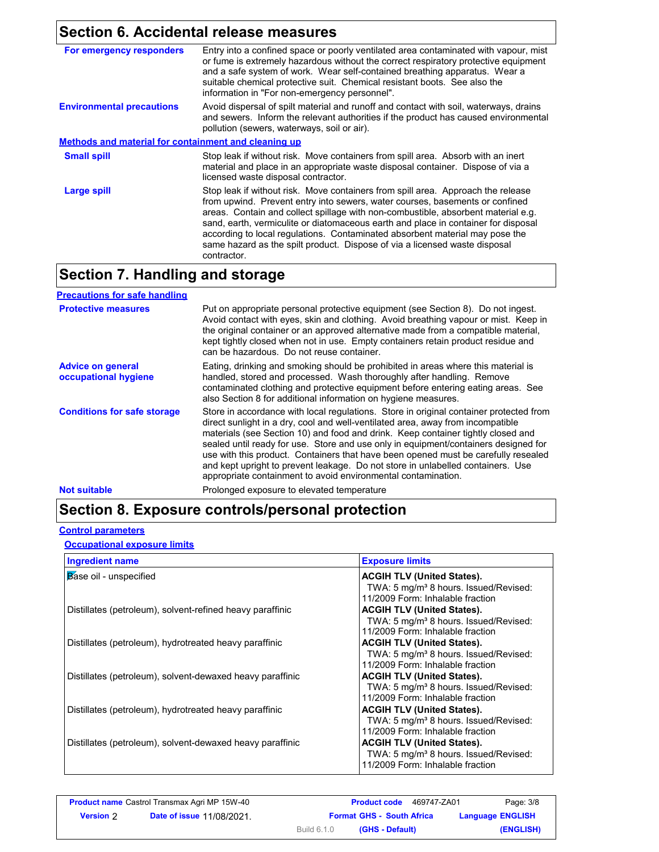## **Section 6. Accidental release measures**

| For emergency responders                             | Entry into a confined space or poorly ventilated area contaminated with vapour, mist<br>or fume is extremely hazardous without the correct respiratory protective equipment<br>and a safe system of work. Wear self-contained breathing apparatus. Wear a<br>suitable chemical protective suit. Chemical resistant boots. See also the<br>information in "For non-emergency personnel".                                                                                                                                  |  |
|------------------------------------------------------|--------------------------------------------------------------------------------------------------------------------------------------------------------------------------------------------------------------------------------------------------------------------------------------------------------------------------------------------------------------------------------------------------------------------------------------------------------------------------------------------------------------------------|--|
| <b>Environmental precautions</b>                     | Avoid dispersal of spilt material and runoff and contact with soil, waterways, drains<br>and sewers. Inform the relevant authorities if the product has caused environmental<br>pollution (sewers, waterways, soil or air).                                                                                                                                                                                                                                                                                              |  |
| Methods and material for containment and cleaning up |                                                                                                                                                                                                                                                                                                                                                                                                                                                                                                                          |  |
| <b>Small spill</b>                                   | Stop leak if without risk. Move containers from spill area. Absorb with an inert<br>material and place in an appropriate waste disposal container. Dispose of via a<br>licensed waste disposal contractor.                                                                                                                                                                                                                                                                                                               |  |
| Large spill                                          | Stop leak if without risk. Move containers from spill area. Approach the release<br>from upwind. Prevent entry into sewers, water courses, basements or confined<br>areas. Contain and collect spillage with non-combustible, absorbent material e.g.<br>sand, earth, vermiculite or diatomaceous earth and place in container for disposal<br>according to local regulations. Contaminated absorbent material may pose the<br>same hazard as the spilt product. Dispose of via a licensed waste disposal<br>contractor. |  |

## **Section 7. Handling and storage**

| <b>Precautions for safe handling</b>             |                                                                                                                                                                                                                                                                                                                                                                                                                                                                                                                                                                                                |
|--------------------------------------------------|------------------------------------------------------------------------------------------------------------------------------------------------------------------------------------------------------------------------------------------------------------------------------------------------------------------------------------------------------------------------------------------------------------------------------------------------------------------------------------------------------------------------------------------------------------------------------------------------|
| <b>Protective measures</b>                       | Put on appropriate personal protective equipment (see Section 8). Do not ingest.<br>Avoid contact with eyes, skin and clothing. Avoid breathing vapour or mist. Keep in<br>the original container or an approved alternative made from a compatible material,<br>kept tightly closed when not in use. Empty containers retain product residue and<br>can be hazardous. Do not reuse container.                                                                                                                                                                                                 |
| <b>Advice on general</b><br>occupational hygiene | Eating, drinking and smoking should be prohibited in areas where this material is<br>handled, stored and processed. Wash thoroughly after handling. Remove<br>contaminated clothing and protective equipment before entering eating areas. See<br>also Section 8 for additional information on hygiene measures.                                                                                                                                                                                                                                                                               |
| <b>Conditions for safe storage</b>               | Store in accordance with local regulations. Store in original container protected from<br>direct sunlight in a dry, cool and well-ventilated area, away from incompatible<br>materials (see Section 10) and food and drink. Keep container tightly closed and<br>sealed until ready for use. Store and use only in equipment/containers designed for<br>use with this product. Containers that have been opened must be carefully resealed<br>and kept upright to prevent leakage. Do not store in unlabelled containers. Use<br>appropriate containment to avoid environmental contamination. |
| <b>Not suitable</b>                              | Prolonged exposure to elevated temperature                                                                                                                                                                                                                                                                                                                                                                                                                                                                                                                                                     |

## **Section 8. Exposure controls/personal protection**

#### **Control parameters**

**Occupational exposure limits**

| <b>Ingredient name</b>                                    | <b>Exposure limits</b>                            |
|-----------------------------------------------------------|---------------------------------------------------|
| Base oil - unspecified                                    | <b>ACGIH TLV (United States).</b>                 |
|                                                           | TWA: 5 mg/m <sup>3</sup> 8 hours. Issued/Revised: |
|                                                           | 11/2009 Form: Inhalable fraction                  |
| Distillates (petroleum), solvent-refined heavy paraffinic | <b>ACGIH TLV (United States).</b>                 |
|                                                           | TWA: 5 mg/m <sup>3</sup> 8 hours. Issued/Revised: |
|                                                           | 11/2009 Form: Inhalable fraction                  |
| Distillates (petroleum), hydrotreated heavy paraffinic    | <b>ACGIH TLV (United States).</b>                 |
|                                                           | TWA: 5 mg/m <sup>3</sup> 8 hours. Issued/Revised: |
|                                                           | 11/2009 Form: Inhalable fraction                  |
| Distillates (petroleum), solvent-dewaxed heavy paraffinic | <b>ACGIH TLV (United States).</b>                 |
|                                                           | TWA: 5 mg/m <sup>3</sup> 8 hours. Issued/Revised: |
|                                                           | 11/2009 Form: Inhalable fraction                  |
| Distillates (petroleum), hydrotreated heavy paraffinic    | <b>ACGIH TLV (United States).</b>                 |
|                                                           | TWA: 5 mg/m <sup>3</sup> 8 hours. Issued/Revised: |
|                                                           | 11/2009 Form: Inhalable fraction                  |
| Distillates (petroleum), solvent-dewaxed heavy paraffinic | <b>ACGIH TLV (United States).</b>                 |
|                                                           | TWA: 5 mg/m <sup>3</sup> 8 hours. Issued/Revised: |
|                                                           | 11/2009 Form: Inhalable fraction                  |

|                  | <b>Product name Castrol Transmax Agri MP 15W-40</b> | <b>Product code</b><br>469747-ZA01    | Page: 3/8               |
|------------------|-----------------------------------------------------|---------------------------------------|-------------------------|
| <b>Version</b> 2 | <b>Date of issue 11/08/2021.</b>                    | <b>Format GHS - South Africa</b>      | <b>Language ENGLISH</b> |
|                  |                                                     | <b>Build 6.1.0</b><br>(GHS - Default) | (ENGLISH)               |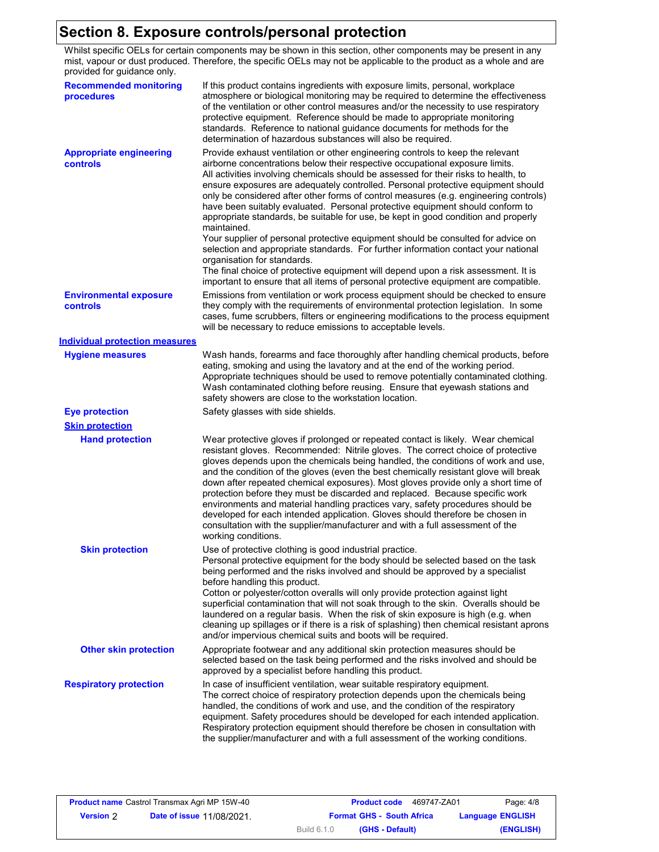## **Section 8. Exposure controls/personal protection**

Whilst specific OELs for certain components may be shown in this section, other components may be present in any mist, vapour or dust produced. Therefore, the specific OELs may not be applicable to the product as a whole and are provided for guidance only.

| provided for guidance only.                 |                                                                                                                                                                                                                                                                                                                                                                                                                                                                                                                                                                                                                                                                                                                                                                                                                                                                                                                                                                                                               |
|---------------------------------------------|---------------------------------------------------------------------------------------------------------------------------------------------------------------------------------------------------------------------------------------------------------------------------------------------------------------------------------------------------------------------------------------------------------------------------------------------------------------------------------------------------------------------------------------------------------------------------------------------------------------------------------------------------------------------------------------------------------------------------------------------------------------------------------------------------------------------------------------------------------------------------------------------------------------------------------------------------------------------------------------------------------------|
| <b>Recommended monitoring</b><br>procedures | If this product contains ingredients with exposure limits, personal, workplace<br>atmosphere or biological monitoring may be required to determine the effectiveness<br>of the ventilation or other control measures and/or the necessity to use respiratory<br>protective equipment. Reference should be made to appropriate monitoring<br>standards. Reference to national guidance documents for methods for the<br>determination of hazardous substances will also be required.                                                                                                                                                                                                                                                                                                                                                                                                                                                                                                                           |
| <b>Appropriate engineering</b><br>controls  | Provide exhaust ventilation or other engineering controls to keep the relevant<br>airborne concentrations below their respective occupational exposure limits.<br>All activities involving chemicals should be assessed for their risks to health, to<br>ensure exposures are adequately controlled. Personal protective equipment should<br>only be considered after other forms of control measures (e.g. engineering controls)<br>have been suitably evaluated. Personal protective equipment should conform to<br>appropriate standards, be suitable for use, be kept in good condition and properly<br>maintained.<br>Your supplier of personal protective equipment should be consulted for advice on<br>selection and appropriate standards. For further information contact your national<br>organisation for standards.<br>The final choice of protective equipment will depend upon a risk assessment. It is<br>important to ensure that all items of personal protective equipment are compatible. |
| <b>Environmental exposure</b><br>controls   | Emissions from ventilation or work process equipment should be checked to ensure<br>they comply with the requirements of environmental protection legislation. In some<br>cases, fume scrubbers, filters or engineering modifications to the process equipment<br>will be necessary to reduce emissions to acceptable levels.                                                                                                                                                                                                                                                                                                                                                                                                                                                                                                                                                                                                                                                                                 |
| <b>Individual protection measures</b>       |                                                                                                                                                                                                                                                                                                                                                                                                                                                                                                                                                                                                                                                                                                                                                                                                                                                                                                                                                                                                               |
| <b>Hygiene measures</b>                     | Wash hands, forearms and face thoroughly after handling chemical products, before<br>eating, smoking and using the lavatory and at the end of the working period.<br>Appropriate techniques should be used to remove potentially contaminated clothing.<br>Wash contaminated clothing before reusing. Ensure that eyewash stations and<br>safety showers are close to the workstation location.                                                                                                                                                                                                                                                                                                                                                                                                                                                                                                                                                                                                               |
| <b>Eye protection</b>                       | Safety glasses with side shields.                                                                                                                                                                                                                                                                                                                                                                                                                                                                                                                                                                                                                                                                                                                                                                                                                                                                                                                                                                             |
| <b>Skin protection</b>                      |                                                                                                                                                                                                                                                                                                                                                                                                                                                                                                                                                                                                                                                                                                                                                                                                                                                                                                                                                                                                               |
| <b>Hand protection</b>                      | Wear protective gloves if prolonged or repeated contact is likely. Wear chemical<br>resistant gloves. Recommended: Nitrile gloves. The correct choice of protective<br>gloves depends upon the chemicals being handled, the conditions of work and use,<br>and the condition of the gloves (even the best chemically resistant glove will break<br>down after repeated chemical exposures). Most gloves provide only a short time of<br>protection before they must be discarded and replaced. Because specific work<br>environments and material handling practices vary, safety procedures should be<br>developed for each intended application. Gloves should therefore be chosen in<br>consultation with the supplier/manufacturer and with a full assessment of the<br>working conditions.                                                                                                                                                                                                               |
| <b>Skin protection</b>                      | Use of protective clothing is good industrial practice.<br>Personal protective equipment for the body should be selected based on the task<br>being performed and the risks involved and should be approved by a specialist<br>before handling this product.<br>Cotton or polyester/cotton overalls will only provide protection against light<br>superficial contamination that will not soak through to the skin. Overalls should be<br>laundered on a regular basis. When the risk of skin exposure is high (e.g. when<br>cleaning up spillages or if there is a risk of splashing) then chemical resistant aprons<br>and/or impervious chemical suits and boots will be required.                                                                                                                                                                                                                                                                                                                         |
| <b>Other skin protection</b>                | Appropriate footwear and any additional skin protection measures should be<br>selected based on the task being performed and the risks involved and should be<br>approved by a specialist before handling this product.                                                                                                                                                                                                                                                                                                                                                                                                                                                                                                                                                                                                                                                                                                                                                                                       |
| <b>Respiratory protection</b>               | In case of insufficient ventilation, wear suitable respiratory equipment.<br>The correct choice of respiratory protection depends upon the chemicals being<br>handled, the conditions of work and use, and the condition of the respiratory<br>equipment. Safety procedures should be developed for each intended application.<br>Respiratory protection equipment should therefore be chosen in consultation with<br>the supplier/manufacturer and with a full assessment of the working conditions.                                                                                                                                                                                                                                                                                                                                                                                                                                                                                                         |

| <b>Product name</b> Castrol Transmax Agri MP 15W-40 |                                  | <b>Product code</b><br>469747-ZA01                          | Page: 4/8 |
|-----------------------------------------------------|----------------------------------|-------------------------------------------------------------|-----------|
| <b>Version 2</b>                                    | <b>Date of issue 11/08/2021.</b> | <b>Format GHS - South Africa</b><br><b>Language ENGLISH</b> |           |
|                                                     |                                  | Build 6.1.0<br>(GHS - Default)                              | (ENGLISH) |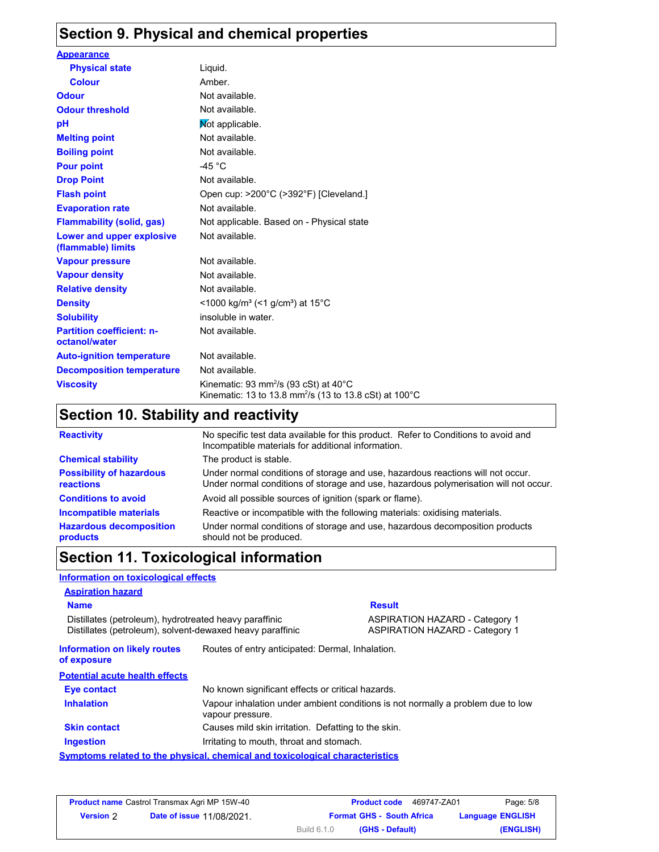## **Section 9. Physical and chemical properties**

| <b>Appearance</b>                                 |                                                                                                                                              |
|---------------------------------------------------|----------------------------------------------------------------------------------------------------------------------------------------------|
| <b>Physical state</b>                             | Liquid.                                                                                                                                      |
| <b>Colour</b>                                     | Amber.                                                                                                                                       |
| <b>Odour</b>                                      | Not available.                                                                                                                               |
| <b>Odour threshold</b>                            | Not available.                                                                                                                               |
| рH                                                | Not applicable.                                                                                                                              |
| <b>Melting point</b>                              | Not available.                                                                                                                               |
| <b>Boiling point</b>                              | Not available.                                                                                                                               |
| <b>Pour point</b>                                 | -45 $^{\circ}$ C                                                                                                                             |
| <b>Drop Point</b>                                 | Not available.                                                                                                                               |
| <b>Flash point</b>                                | Open cup: >200°C (>392°F) [Cleveland.]                                                                                                       |
| <b>Evaporation rate</b>                           | Not available.                                                                                                                               |
| <b>Flammability (solid, gas)</b>                  | Not applicable. Based on - Physical state                                                                                                    |
| Lower and upper explosive<br>(flammable) limits   | Not available.                                                                                                                               |
| <b>Vapour pressure</b>                            | Not available.                                                                                                                               |
| <b>Vapour density</b>                             | Not available.                                                                                                                               |
| <b>Relative density</b>                           | Not available.                                                                                                                               |
| <b>Density</b>                                    | <1000 kg/m <sup>3</sup> (<1 g/cm <sup>3</sup> ) at 15 <sup>°</sup> C                                                                         |
| <b>Solubility</b>                                 | insoluble in water.                                                                                                                          |
| <b>Partition coefficient: n-</b><br>octanol/water | Not available.                                                                                                                               |
| <b>Auto-ignition temperature</b>                  | Not available.                                                                                                                               |
| <b>Decomposition temperature</b>                  | Not available.                                                                                                                               |
| <b>Viscosity</b>                                  | Kinematic: 93 mm <sup>2</sup> /s (93 cSt) at $40^{\circ}$ C<br>Kinematic: 13 to 13.8 mm <sup>2</sup> /s (13 to 13.8 cSt) at 100 $^{\circ}$ C |

## **Section 10. Stability and reactivity**

| <b>Reactivity</b>                            | No specific test data available for this product. Refer to Conditions to avoid and<br>Incompatible materials for additional information.                                |
|----------------------------------------------|-------------------------------------------------------------------------------------------------------------------------------------------------------------------------|
| <b>Chemical stability</b>                    | The product is stable.                                                                                                                                                  |
| <b>Possibility of hazardous</b><br>reactions | Under normal conditions of storage and use, hazardous reactions will not occur.<br>Under normal conditions of storage and use, hazardous polymerisation will not occur. |
| <b>Conditions to avoid</b>                   | Avoid all possible sources of ignition (spark or flame).                                                                                                                |
| <b>Incompatible materials</b>                | Reactive or incompatible with the following materials: oxidising materials.                                                                                             |
| <b>Hazardous decomposition</b><br>products   | Under normal conditions of storage and use, hazardous decomposition products<br>should not be produced.                                                                 |

## **Section 11. Toxicological information**

| Information on toxicological effects                                                                                |                                                     |                                                                                 |
|---------------------------------------------------------------------------------------------------------------------|-----------------------------------------------------|---------------------------------------------------------------------------------|
| <b>Aspiration hazard</b>                                                                                            |                                                     |                                                                                 |
| <b>Name</b>                                                                                                         |                                                     | <b>Result</b>                                                                   |
| Distillates (petroleum), hydrotreated heavy paraffinic<br>Distillates (petroleum), solvent-dewaxed heavy paraffinic |                                                     | <b>ASPIRATION HAZARD - Category 1</b><br><b>ASPIRATION HAZARD - Category 1</b>  |
| <b>Information on likely routes</b><br>of exposure                                                                  | Routes of entry anticipated: Dermal, Inhalation.    |                                                                                 |
| <b>Potential acute health effects</b>                                                                               |                                                     |                                                                                 |
| Eye contact                                                                                                         | No known significant effects or critical hazards.   |                                                                                 |
| <b>Inhalation</b>                                                                                                   | vapour pressure.                                    | Vapour inhalation under ambient conditions is not normally a problem due to low |
| <b>Skin contact</b>                                                                                                 | Causes mild skin irritation. Defatting to the skin. |                                                                                 |
| <b>Ingestion</b>                                                                                                    | Irritating to mouth, throat and stomach.            |                                                                                 |
| Symptoms related to the physical, chemical and toxicological characteristics                                        |                                                     |                                                                                 |

| <b>Product name Castrol Transmax Agri MP 15W-40</b> |                                  |                    | <b>Product code</b><br>469747-ZA01 | Page: 5/8               |
|-----------------------------------------------------|----------------------------------|--------------------|------------------------------------|-------------------------|
| <b>Version 2</b>                                    | <b>Date of issue 11/08/2021.</b> |                    | <b>Format GHS - South Africa</b>   | <b>Language ENGLISH</b> |
|                                                     |                                  | <b>Build 6.1.0</b> | (GHS - Default)                    | (ENGLISH)               |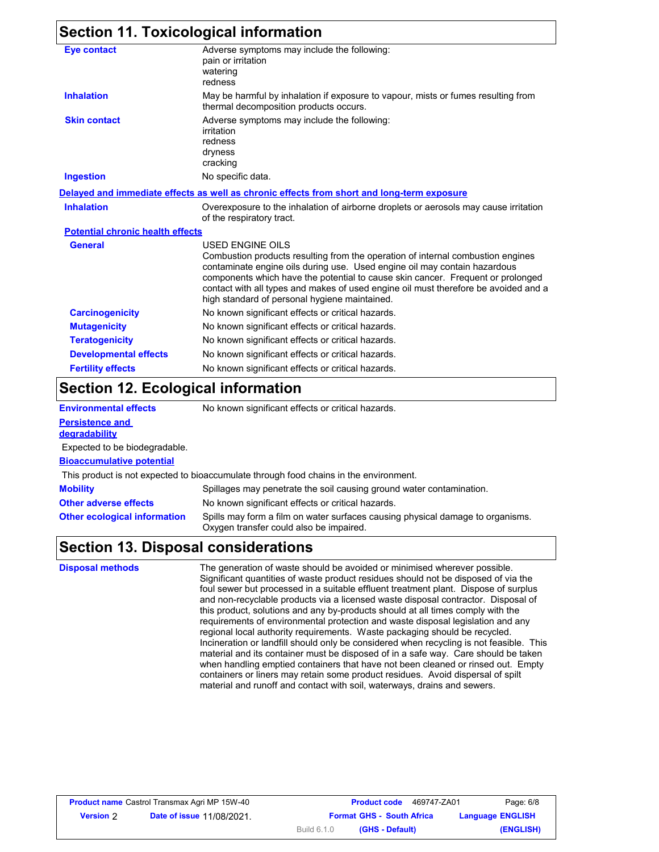### **Section 11. Toxicological information**

| <b>Eye contact</b>                      | Adverse symptoms may include the following:<br>pain or irritation<br>watering<br>redness                                                                                                                                                                                                                                                                                                                           |
|-----------------------------------------|--------------------------------------------------------------------------------------------------------------------------------------------------------------------------------------------------------------------------------------------------------------------------------------------------------------------------------------------------------------------------------------------------------------------|
| <b>Inhalation</b>                       | May be harmful by inhalation if exposure to vapour, mists or fumes resulting from<br>thermal decomposition products occurs.                                                                                                                                                                                                                                                                                        |
| <b>Skin contact</b>                     | Adverse symptoms may include the following:<br>irritation<br>redness<br>dryness<br>cracking                                                                                                                                                                                                                                                                                                                        |
| <b>Ingestion</b>                        | No specific data.                                                                                                                                                                                                                                                                                                                                                                                                  |
|                                         | Delayed and immediate effects as well as chronic effects from short and long-term exposure                                                                                                                                                                                                                                                                                                                         |
| <b>Inhalation</b>                       | Overexposure to the inhalation of airborne droplets or aerosols may cause irritation<br>of the respiratory tract.                                                                                                                                                                                                                                                                                                  |
| <b>Potential chronic health effects</b> |                                                                                                                                                                                                                                                                                                                                                                                                                    |
| <b>General</b>                          | <b>USED ENGINE OILS</b><br>Combustion products resulting from the operation of internal combustion engines<br>contaminate engine oils during use. Used engine oil may contain hazardous<br>components which have the potential to cause skin cancer. Frequent or prolonged<br>contact with all types and makes of used engine oil must therefore be avoided and a<br>high standard of personal hygiene maintained. |
| <b>Carcinogenicity</b>                  | No known significant effects or critical hazards.                                                                                                                                                                                                                                                                                                                                                                  |
| <b>Mutagenicity</b>                     | No known significant effects or critical hazards.                                                                                                                                                                                                                                                                                                                                                                  |
| <b>Teratogenicity</b>                   | No known significant effects or critical hazards.                                                                                                                                                                                                                                                                                                                                                                  |
| <b>Developmental effects</b>            | No known significant effects or critical hazards.                                                                                                                                                                                                                                                                                                                                                                  |
| <b>Fertility effects</b>                | No known significant effects or critical hazards.                                                                                                                                                                                                                                                                                                                                                                  |

#### **Section 12. Ecological information**

| <b>Environmental effects</b>            | No known significant effects or critical hazards.                                                                         |
|-----------------------------------------|---------------------------------------------------------------------------------------------------------------------------|
| <b>Persistence and</b><br>degradability |                                                                                                                           |
| Expected to be biodegradable.           |                                                                                                                           |
| <b>Bioaccumulative potential</b>        |                                                                                                                           |
|                                         | This product is not expected to bioaccumulate through food chains in the environment.                                     |
| <b>Mobility</b>                         | Spillages may penetrate the soil causing ground water contamination.                                                      |
| <b>Other adverse effects</b>            | No known significant effects or critical hazards.                                                                         |
| <b>Other ecological information</b>     | Spills may form a film on water surfaces causing physical damage to organisms.<br>Oxygen transfer could also be impaired. |

### **Section 13. Disposal considerations**

**Disposal methods** The generation of waste should be avoided or minimised wherever possible. Significant quantities of waste product residues should not be disposed of via the foul sewer but processed in a suitable effluent treatment plant. Dispose of surplus and non-recyclable products via a licensed waste disposal contractor. Disposal of this product, solutions and any by-products should at all times comply with the requirements of environmental protection and waste disposal legislation and any regional local authority requirements. Waste packaging should be recycled. Incineration or landfill should only be considered when recycling is not feasible. This material and its container must be disposed of in a safe way. Care should be taken when handling emptied containers that have not been cleaned or rinsed out. Empty containers or liners may retain some product residues. Avoid dispersal of spilt material and runoff and contact with soil, waterways, drains and sewers.

| <b>Product name Castrol Transmax Agri MP 15W-40</b> |                                  |                    | <b>Product code</b>              | 469747-ZA01 | Page: 6/8               |
|-----------------------------------------------------|----------------------------------|--------------------|----------------------------------|-------------|-------------------------|
| <b>Version</b> 2                                    | <b>Date of issue 11/08/2021.</b> |                    | <b>Format GHS - South Africa</b> |             | <b>Language ENGLISH</b> |
|                                                     |                                  | <b>Build 6.1.0</b> | (GHS - Default)                  |             | (ENGLISH)               |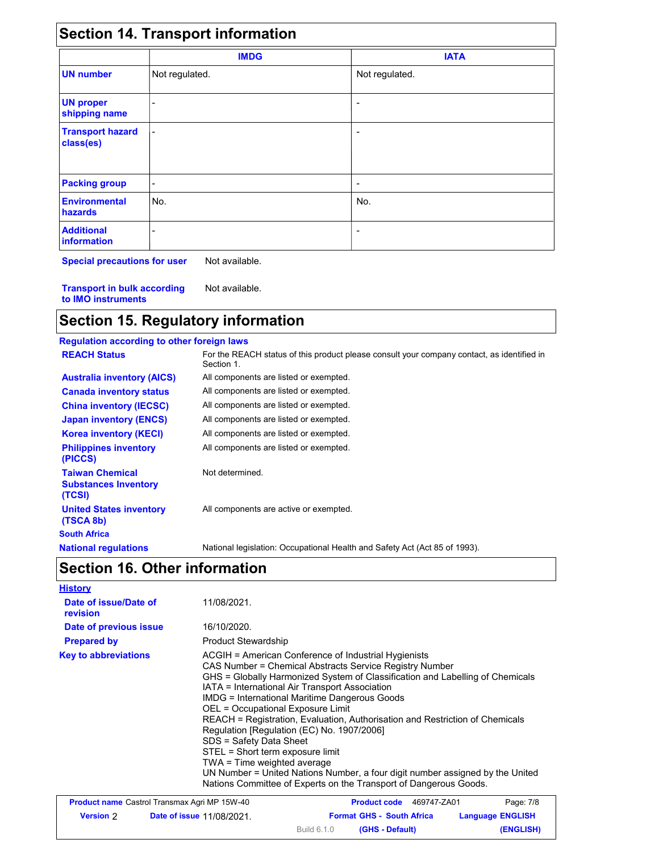|                                      | <b>IMDG</b>    | <b>IATA</b>    |  |
|--------------------------------------|----------------|----------------|--|
| <b>UN number</b>                     | Not regulated. | Not regulated. |  |
| <b>UN proper</b><br>shipping name    |                |                |  |
| <b>Transport hazard</b><br>class(es) | $\blacksquare$ |                |  |
| <b>Packing group</b>                 | -              |                |  |
| <b>Environmental</b><br>hazards      | No.            | No.            |  |
| <b>Additional</b><br>information     |                |                |  |

**Special precautions for user** Not available.

**Transport in bulk according to IMO instruments** Not available.

## **Section 15. Regulatory information**

| <b>Regulation according to other foreign laws</b>               |                                                                                                          |
|-----------------------------------------------------------------|----------------------------------------------------------------------------------------------------------|
| <b>REACH Status</b>                                             | For the REACH status of this product please consult your company contact, as identified in<br>Section 1. |
| <b>Australia inventory (AICS)</b>                               | All components are listed or exempted.                                                                   |
| <b>Canada inventory status</b>                                  | All components are listed or exempted.                                                                   |
| <b>China inventory (IECSC)</b>                                  | All components are listed or exempted.                                                                   |
| <b>Japan inventory (ENCS)</b>                                   | All components are listed or exempted.                                                                   |
| <b>Korea inventory (KECI)</b>                                   | All components are listed or exempted.                                                                   |
| <b>Philippines inventory</b><br>(PICCS)                         | All components are listed or exempted.                                                                   |
| <b>Taiwan Chemical</b><br><b>Substances Inventory</b><br>(TCSI) | Not determined.                                                                                          |
| <b>United States inventory</b><br>(TSCA 8b)                     | All components are active or exempted.                                                                   |
| <b>South Africa</b>                                             |                                                                                                          |
| <b>National regulations</b>                                     | National legislation: Occupational Health and Safety Act (Act 85 of 1993).                               |

# **Section 16. Other information**

| <b>History</b>                    |                                                                                                                                                                                                                                                                                                                                                                                                                                                                                                                                                                                                                                                                                                                                   |
|-----------------------------------|-----------------------------------------------------------------------------------------------------------------------------------------------------------------------------------------------------------------------------------------------------------------------------------------------------------------------------------------------------------------------------------------------------------------------------------------------------------------------------------------------------------------------------------------------------------------------------------------------------------------------------------------------------------------------------------------------------------------------------------|
| Date of issue/Date of<br>revision | 11/08/2021.                                                                                                                                                                                                                                                                                                                                                                                                                                                                                                                                                                                                                                                                                                                       |
| Date of previous issue            | 16/10/2020.                                                                                                                                                                                                                                                                                                                                                                                                                                                                                                                                                                                                                                                                                                                       |
| <b>Prepared by</b>                | <b>Product Stewardship</b>                                                                                                                                                                                                                                                                                                                                                                                                                                                                                                                                                                                                                                                                                                        |
| <b>Key to abbreviations</b>       | ACGIH = American Conference of Industrial Hygienists<br>CAS Number = Chemical Abstracts Service Registry Number<br>GHS = Globally Harmonized System of Classification and Labelling of Chemicals<br>IATA = International Air Transport Association<br><b>IMDG = International Maritime Dangerous Goods</b><br>OEL = Occupational Exposure Limit<br>REACH = Registration, Evaluation, Authorisation and Restriction of Chemicals<br>Regulation [Regulation (EC) No. 1907/2006]<br>SDS = Safety Data Sheet<br>STEL = Short term exposure limit<br>TWA = Time weighted average<br>UN Number = United Nations Number, a four digit number assigned by the United<br>Nations Committee of Experts on the Transport of Dangerous Goods. |

| <b>Product name</b> Castrol Transmax Agri MP 15W-40 |                                  | 469747-ZA01<br><b>Product code</b>                          | Page: 7/8 |
|-----------------------------------------------------|----------------------------------|-------------------------------------------------------------|-----------|
| <b>Version</b> 2                                    | <b>Date of issue 11/08/2021.</b> | <b>Format GHS - South Africa</b><br><b>Language ENGLISH</b> |           |
|                                                     |                                  | (GHS - Default)<br>Build 6.1.0                              | (ENGLISH) |